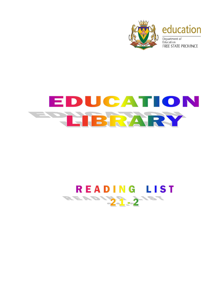

## EDUCATION **ETHERARY**

## READING LIST READY 21.21ST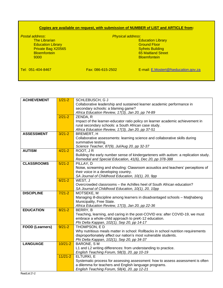## **Copies are available on request, with submission of NUMBER of LIST and ARTICLE from:**

*Postal address*: *Physical address*: Education Library **Education Library** Control Control Control Control Control Control Control Control Control Control Control Control Control Control Control Control Control Control Control Control Control Control Control Private Bag X20565 Bloemfontein 65 Maitland Street

**Education Library<br>Ground Floor Bloemfontein** 

Tel: 051-404-8467 Fax: 086-615-2502 E-mail: [E.Mostert@fseducation.gov.za](mailto:E.Mostert@fseducation.gov.za)

| <b>ACHIEVEMENT</b>                     | $1/21 - 2$  | SCHLEBUSCH, G J                                                                      |
|----------------------------------------|-------------|--------------------------------------------------------------------------------------|
|                                        |             | Collaborative leadership and sustained learner academic performance in               |
|                                        |             | secondary schools: a blaming game?                                                   |
|                                        |             | Africa Education Review, 17(3), Jan 20, pp 74-89                                     |
|                                        | $2/21 - 2$  | ZENDA, R                                                                             |
|                                        |             | Impact of the learner-educator ratio policy on learner academic achievement in       |
|                                        |             | rural secondary schools: a South African case study.                                 |
|                                        |             | Africa Education Review, 17(3), Jan 20, pp 37-51                                     |
| <b>ASSESSMENT</b>                      | $3/21 - 2$  | BREMERT, H                                                                           |
|                                        |             | Collaborative assessments: learning science and collaborative skills during          |
|                                        |             | summative testing.                                                                   |
|                                        |             | Science Teacher, 87(9), Jul/Aug 20, pp 32-37                                         |
| <b>AUTISM</b>                          | $4/21 - 2$  | ROOT, JR                                                                             |
|                                        |             | Building the early number sense of kindergarteners with autism: a replication study. |
|                                        |             | Remedial and Special Education, 41(6), Dec 20, pp 378-388                            |
| <b>CLASSROOMS</b>                      | $5/21 - 2$  | PILLAY, D                                                                            |
|                                        |             | Noise, screaming and shouting: Classroom acoustics and teachers' perceptions of      |
|                                        |             | their voice in a developing country.                                                 |
|                                        |             | SA Journal of Childhood Education, 10(1), 20, 9pp                                    |
|                                        | $6/21 - 2$  | WEST, J                                                                              |
|                                        |             | Overcrowded classrooms - the Achilles heel of South African education?               |
|                                        |             | SA Journal of Childhood Education, 10(1), 20, 10pp                                   |
| <b>DISCIPLINE</b>                      | $7/21-2$    | MOTSEKE, M                                                                           |
|                                        |             | Managing ill-discipline among learners in disadvantaged schools - Matjhabeng         |
|                                        |             | Municipality, Free State.                                                            |
|                                        |             | Africa Education Review, 17(3), Jan 20, pp 22-36                                     |
| <b>EDUCATION</b>                       | $8/21 - 2$  | BERRY, B                                                                             |
|                                        |             | Teaching, learning, and caring in the post-COVID era: after COVID-19, we must        |
|                                        |             | embrace a whole-child approach to preK-12 education.                                 |
|                                        |             | Phi Delta Kappan, 102(1), Sep 20, pp 14-17                                           |
| <b>FOOD (Learners)</b>                 | $9/21 - 2$  | THOMPSON, E D                                                                        |
|                                        |             | Why nutritious meals matter in school: Rollbacks in school nutrition requirements    |
|                                        |             | disproportionately affect our nation's most vulnerable students.                     |
|                                        |             | Phi Delta Kappan, 102(1), Sep 20, pp 34-37                                           |
| <b>LANGUAGE</b>                        | $10/21 - 2$ | <b>BARONE, SM</b>                                                                    |
|                                        |             | L1 and L2 writing differences: from understanding to practice.                       |
|                                        |             | English Teaching Forum, 58(3), 20, pp 10-19                                          |
|                                        | $11/21 - 2$ | ELTURKI, E                                                                           |
|                                        |             | Systematic process for assessing assessment: how to assess assessment is often       |
|                                        |             | a dilemma for teachers and English language programs.                                |
| $\mathbf{u}$ $\mathbf{u}$ $\mathbf{u}$ |             | English Teaching Forum, 58(4), 20, pp 12-21                                          |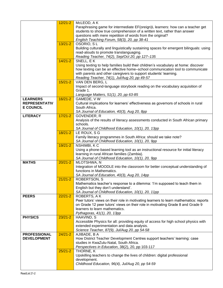|                      | $12/21 - 2$ | McLEOD, A K                                                                               |
|----------------------|-------------|-------------------------------------------------------------------------------------------|
|                      |             | Paraphrasing game for intermediate EF(oreign)L learners: how can a teacher get            |
|                      |             | students to show true comprehension of a written text, rather than answer                 |
|                      |             | questions with mere repetition of words from the original?                                |
|                      |             | English Teaching Forum, 58(3), 20, pp 38-41                                               |
|                      | $13/21 - 2$ | OSORIO, SL                                                                                |
|                      |             | Building culturally and linguistically sustaining spaces for emergent bilinguals: using   |
|                      |             | read-alouds to promote translanguaging.                                                   |
|                      |             | Reading Teacher, 74(2), Sep/Oct 20, pp 127-135                                            |
|                      | $14/21 - 2$ | SNELL, EK                                                                                 |
|                      |             | Using texting to help families build their children's vocabulary at home: discover        |
|                      |             | how texting can be an effective home-school communication tool to communicate             |
|                      |             | with parents and other caregivers to support students' learning.                          |
|                      |             | Reading Teacher, 74(1), Jul/Aug 20, pp 49-57                                              |
|                      | $15/21 - 2$ | VAN DEN BERG, L                                                                           |
|                      |             | Impact of second-language storybook reading on the vocabulary acquisition of              |
|                      |             | Grade 1.                                                                                  |
|                      |             | Language Matters, 51(1), 20, pp 63-85                                                     |
| <b>LEARNERS</b>      | $16/21 - 2$ | GAMEDE, VW                                                                                |
| <b>REPRESENTATIV</b> |             | Cultural implications for learners' effectiveness as governors of schools in rural        |
| <b>E COUNCIL</b>     |             | South Africa.                                                                             |
|                      |             | SA Journal of Education, 40(3), Aug 20, 8pp                                               |
| <b>LITERACY</b>      | $17/21 - 2$ | GOVENDER, R                                                                               |
|                      |             | Analysis of the results of literacy assessments conducted in South African primary        |
|                      |             | schools.                                                                                  |
|                      |             | SA Journal of Childhood Education, 10(1), 20, 13pp                                        |
|                      | $18/21 - 2$ | LE ROUX, S G                                                                              |
|                      |             | Family literacy programmes in South Africa: should we take note?                          |
|                      |             | SA Journal of Childhood Education, 10(1), 20, 9pp                                         |
|                      | $19/21 - 2$ | NSHIMBI, KC                                                                               |
|                      |             | Using a phone-based learning tool as an instructional resource for initial literacy       |
|                      |             | learning in rural African families (Zambia).                                              |
| <b>MATHS</b>         | $20/21 - 2$ | SA Journal of Childhood Education, 10(1), 20, 9pp<br>MLOTSHWA, N                          |
|                      |             | Integration of MOODLE into the classroom for better conceptual understanding of           |
|                      |             | functions in Mathematics.                                                                 |
|                      |             | SA Journal of Education, 40(3), Aug 20, 14pp                                              |
|                      | $21/21 - 2$ | ROBERTSON, S                                                                              |
|                      |             | Mathematics teacher's response to a dilemma: 'I'm supposed to teach them in               |
|                      |             | English but they don't understand'.                                                       |
|                      |             | SA Journal of Childhood Education, 10(1), 20, 11pp                                        |
| <b>PEERS</b>         | $22/21 - 2$ | ROBERTS, AK                                                                               |
|                      |             | Peer tutors' views on their role in motivating learners to learn mathematics: reports     |
|                      |             | on Grade 12 peer tutors' views on their role in motivating Grade 8 and Grade 9            |
|                      |             | learners to learn mathematics.                                                            |
|                      |             | Pythagoras, 41(1), 20, 13pp                                                               |
| <b>PHYSICS</b>       | $23/21 - 2$ | HAAVIND, S                                                                                |
|                      |             | Accessible Physics for all: providing equity of access for high school physics with       |
|                      |             | extended experimentation and data analysis.                                               |
|                      |             | Science Teacher, 87(9), Jul/Aug 20, pp 54-58                                              |
| <b>PROFESSIONAL</b>  | $24/21 - 2$ | AJIBADE, B A                                                                              |
| <b>DEVELOPMENT</b>   |             | How District Teacher Development Centres support teachers' learning: case                 |
|                      |             | studies in KwaZulu-Natal, South Africa.                                                   |
|                      |             | Perspectives in Education, 38(2), 20, pp 103-117                                          |
|                      | $25/21 - 2$ | THORNE, K                                                                                 |
|                      |             | Upskilling teachers to change the lives of children: digital professional<br>development. |
|                      |             | Childhood Education, 96(4), Jul/Aug 20, pp 54-59                                          |
|                      |             |                                                                                           |